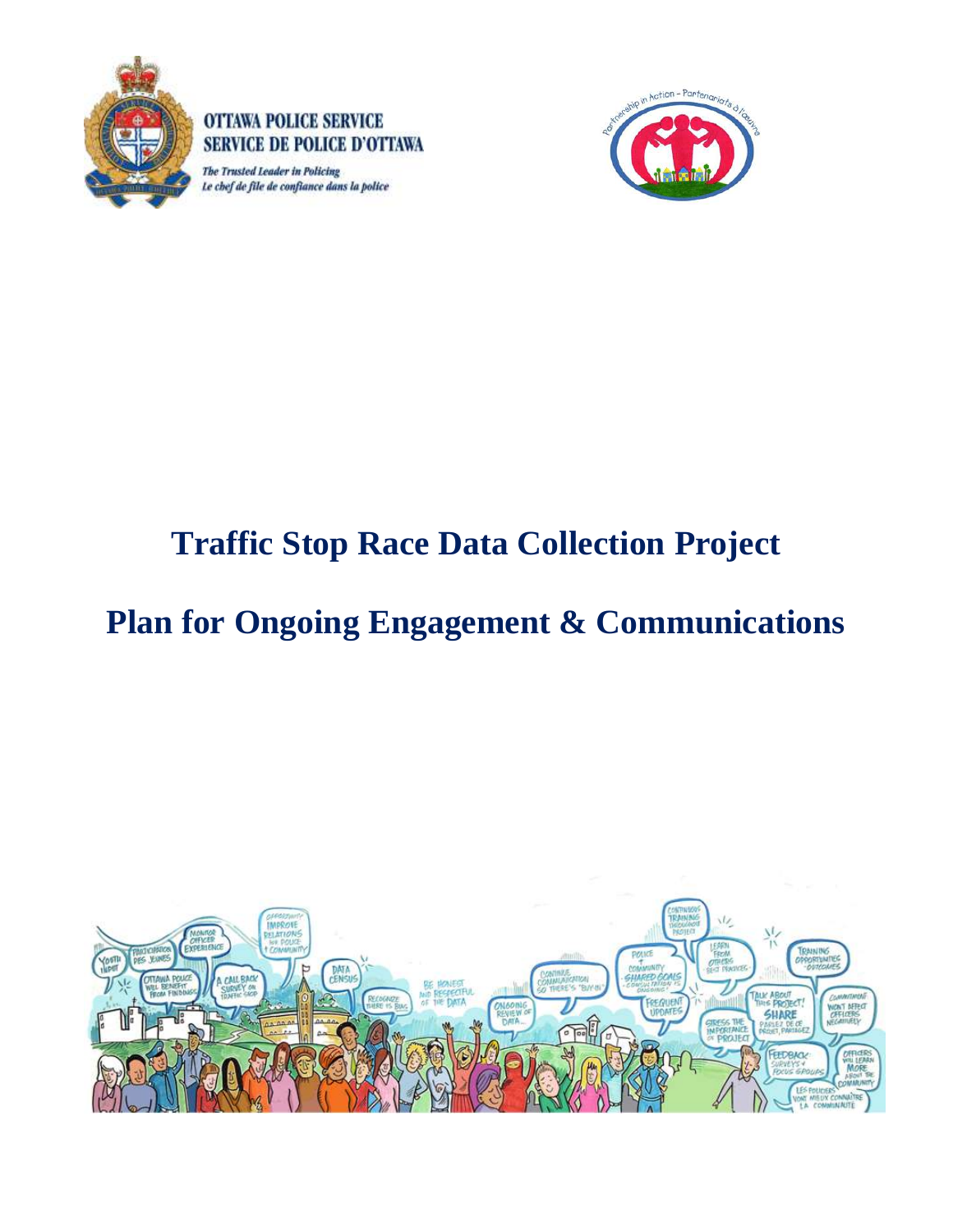

SERVICE DE POLICE D'OTTAWA The Trusted Leader in Policing Le chef de file de confiance dans la police

**OTTAWA POLICE SERVICE** 



# **Traffic Stop Race Data Collection Project**

# **Plan for Ongoing Engagement & Communications**

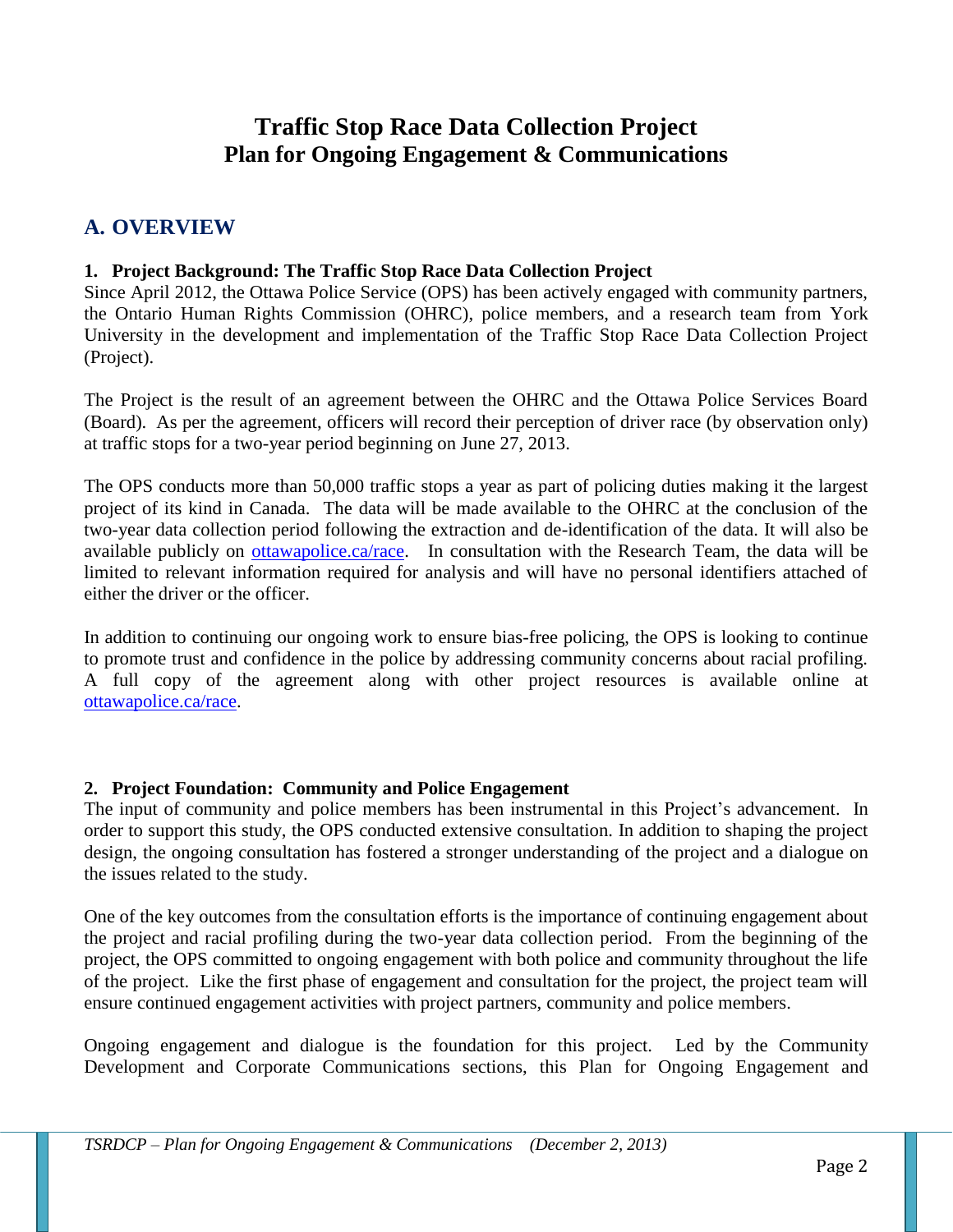## **Traffic Stop Race Data Collection Project Plan for Ongoing Engagement & Communications**

### **A. OVERVIEW**

#### **1. Project Background: The Traffic Stop Race Data Collection Project**

Since April 2012, the Ottawa Police Service (OPS) has been actively engaged with community partners, the Ontario Human Rights Commission (OHRC), police members, and a research team from York University in the development and implementation of the Traffic Stop Race Data Collection Project (Project).

The Project is the result of an agreement between the OHRC and the Ottawa Police Services Board (Board). As per the agreement, officers will record their perception of driver race (by observation only) at traffic stops for a two-year period beginning on June 27, 2013.

The OPS conducts more than 50,000 traffic stops a year as part of policing duties making it the largest project of its kind in Canada. The data will be made available to the OHRC at the conclusion of the two-year data collection period following the extraction and de-identification of the data. It will also be available publicly on [ottawapolice.ca/race.](http://ottawapolice.ca/en/community/diversitymatters/racialprofiling.aspx) In consultation with the Research Team, the data will be limited to relevant information required for analysis and will have no personal identifiers attached of either the driver or the officer.

In addition to continuing our ongoing work to ensure bias-free policing, the OPS is looking to continue to promote trust and confidence in the police by addressing community concerns about racial profiling. A full copy of the agreement along with other project resources is available online at [ottawapolice.ca/race.](http://ottawapolice.ca/en/community/diversitymatters/racialprofiling.aspx)

#### **2. Project Foundation: Community and Police Engagement**

The input of community and police members has been instrumental in this Project's advancement. In order to support this study, the OPS conducted extensive consultation. In addition to shaping the project design, the ongoing consultation has fostered a stronger understanding of the project and a dialogue on the issues related to the study.

One of the key outcomes from the consultation efforts is the importance of continuing engagement about the project and racial profiling during the two-year data collection period. From the beginning of the project, the OPS committed to ongoing engagement with both police and community throughout the life of the project. Like the first phase of engagement and consultation for the project, the project team will ensure continued engagement activities with project partners, community and police members.

Ongoing engagement and dialogue is the foundation for this project. Led by the Community Development and Corporate Communications sections, this Plan for Ongoing Engagement and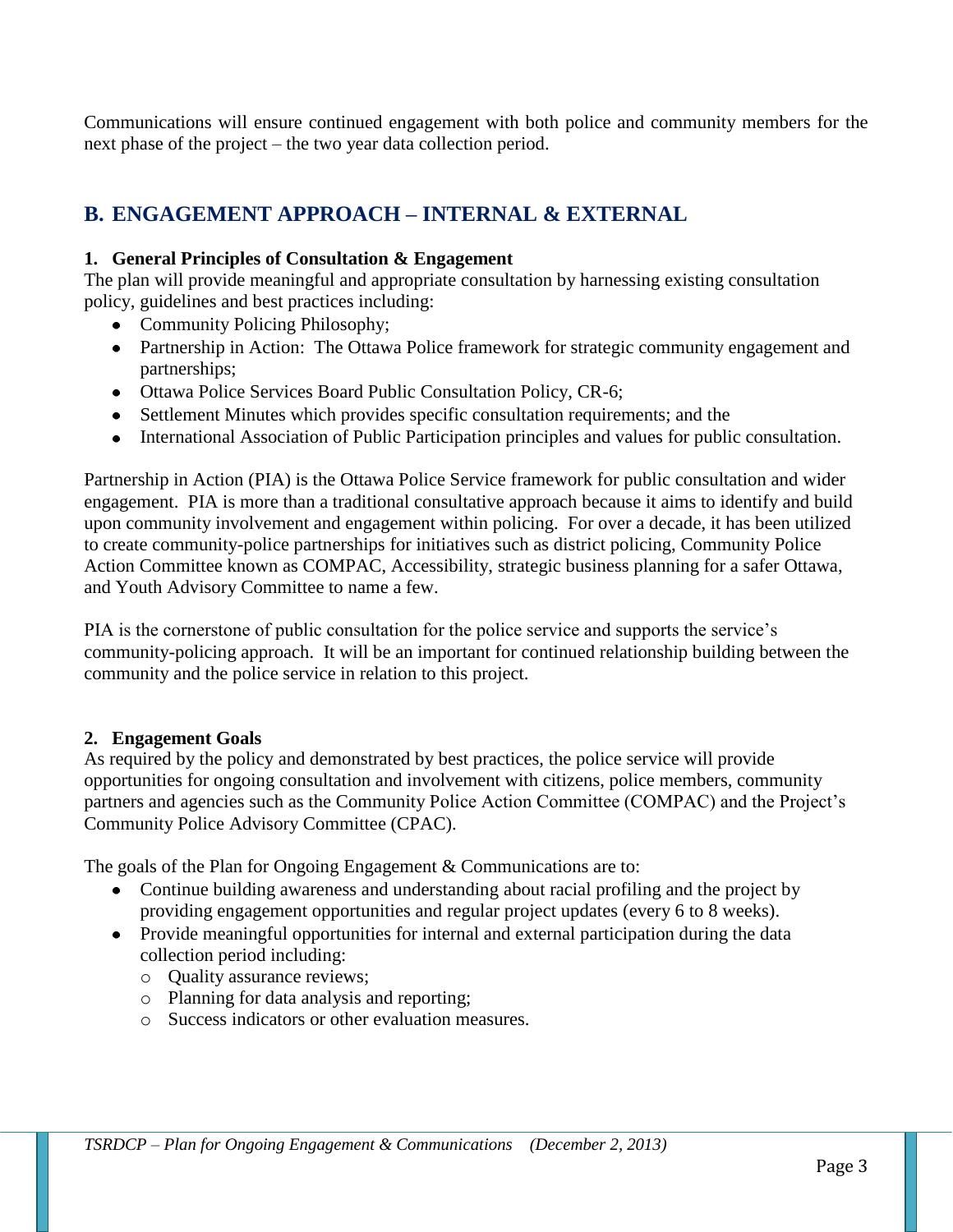Communications will ensure continued engagement with both police and community members for the next phase of the project – the two year data collection period.

## **B. ENGAGEMENT APPROACH – INTERNAL & EXTERNAL**

#### **1. General Principles of Consultation & Engagement**

The plan will provide meaningful and appropriate consultation by harnessing existing consultation policy, guidelines and best practices including:

- Community Policing Philosophy;
- Partnership in Action: The Ottawa Police framework for strategic community engagement and partnerships;
- Ottawa Police Services Board Public Consultation Policy, CR-6;
- Settlement Minutes which provides specific consultation requirements; and the
- International Association of Public Participation principles and values for public consultation.

Partnership in Action (PIA) is the Ottawa Police Service framework for public consultation and wider engagement. PIA is more than a traditional consultative approach because it aims to identify and build upon community involvement and engagement within policing. For over a decade, it has been utilized to create community-police partnerships for initiatives such as district policing, Community Police Action Committee known as COMPAC, Accessibility, strategic business planning for a safer Ottawa, and Youth Advisory Committee to name a few.

PIA is the cornerstone of public consultation for the police service and supports the service's community-policing approach. It will be an important for continued relationship building between the community and the police service in relation to this project.

#### **2. Engagement Goals**

As required by the policy and demonstrated by best practices, the police service will provide opportunities for ongoing consultation and involvement with citizens, police members, community partners and agencies such as the Community Police Action Committee (COMPAC) and the Project's Community Police Advisory Committee (CPAC).

The goals of the Plan for Ongoing Engagement & Communications are to:

- Continue building awareness and understanding about racial profiling and the project by providing engagement opportunities and regular project updates (every 6 to 8 weeks).
- Provide meaningful opportunities for internal and external participation during the data collection period including:
	- o Quality assurance reviews;
	- o Planning for data analysis and reporting;
	- o Success indicators or other evaluation measures.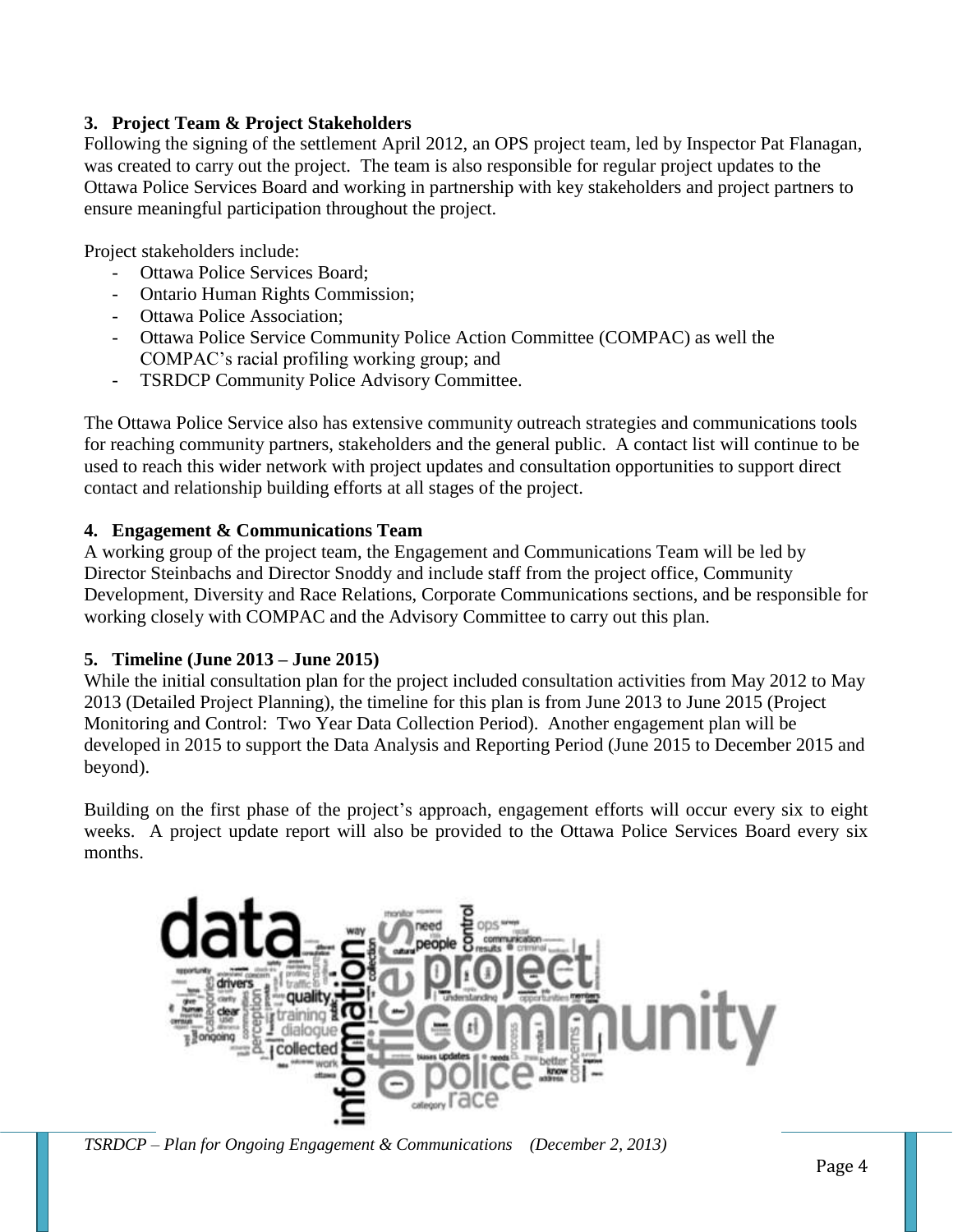#### **3. Project Team & Project Stakeholders**

Following the signing of the settlement April 2012, an OPS project team, led by Inspector Pat Flanagan, was created to carry out the project. The team is also responsible for regular project updates to the Ottawa Police Services Board and working in partnership with key stakeholders and project partners to ensure meaningful participation throughout the project.

Project stakeholders include:

- Ottawa Police Services Board;
- Ontario Human Rights Commission;
- Ottawa Police Association;
- Ottawa Police Service Community Police Action Committee (COMPAC) as well the COMPAC's racial profiling working group; and
- TSRDCP Community Police Advisory Committee.

The Ottawa Police Service also has extensive community outreach strategies and communications tools for reaching community partners, stakeholders and the general public. A contact list will continue to be used to reach this wider network with project updates and consultation opportunities to support direct contact and relationship building efforts at all stages of the project.

#### **4. Engagement & Communications Team**

A working group of the project team, the Engagement and Communications Team will be led by Director Steinbachs and Director Snoddy and include staff from the project office, Community Development, Diversity and Race Relations, Corporate Communications sections, and be responsible for working closely with COMPAC and the Advisory Committee to carry out this plan.

#### **5. Timeline (June 2013 – June 2015)**

While the initial consultation plan for the project included consultation activities from May 2012 to May 2013 (Detailed Project Planning), the timeline for this plan is from June 2013 to June 2015 (Project Monitoring and Control: Two Year Data Collection Period). Another engagement plan will be developed in 2015 to support the Data Analysis and Reporting Period (June 2015 to December 2015 and beyond).

Building on the first phase of the project's approach, engagement efforts will occur every six to eight weeks. A project update report will also be provided to the Ottawa Police Services Board every six months.



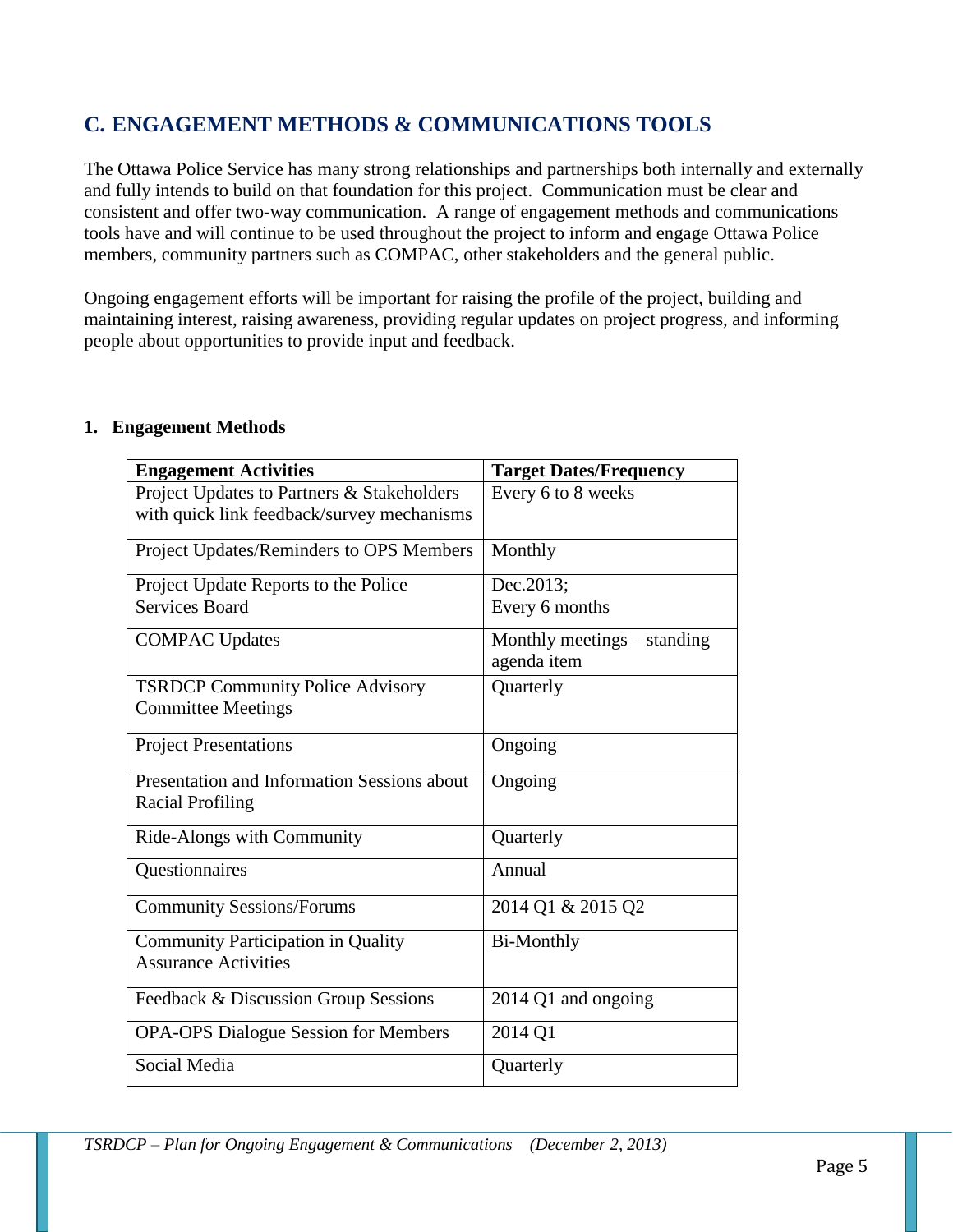## **C. ENGAGEMENT METHODS & COMMUNICATIONS TOOLS**

The Ottawa Police Service has many strong relationships and partnerships both internally and externally and fully intends to build on that foundation for this project. Communication must be clear and consistent and offer two-way communication. A range of engagement methods and communications tools have and will continue to be used throughout the project to inform and engage Ottawa Police members, community partners such as COMPAC, other stakeholders and the general public.

Ongoing engagement efforts will be important for raising the profile of the project, building and maintaining interest, raising awareness, providing regular updates on project progress, and informing people about opportunities to provide input and feedback.

| <b>Engagement Activities</b>                | <b>Target Dates/Frequency</b> |  |  |
|---------------------------------------------|-------------------------------|--|--|
| Project Updates to Partners & Stakeholders  | Every 6 to 8 weeks            |  |  |
| with quick link feedback/survey mechanisms  |                               |  |  |
| Project Updates/Reminders to OPS Members    | Monthly                       |  |  |
| Project Update Reports to the Police        | Dec.2013;                     |  |  |
| <b>Services Board</b>                       | Every 6 months                |  |  |
| <b>COMPAC Updates</b>                       | Monthly meetings – standing   |  |  |
|                                             | agenda item                   |  |  |
| <b>TSRDCP Community Police Advisory</b>     | Quarterly                     |  |  |
| <b>Committee Meetings</b>                   |                               |  |  |
| <b>Project Presentations</b>                | Ongoing                       |  |  |
| Presentation and Information Sessions about | Ongoing                       |  |  |
| <b>Racial Profiling</b>                     |                               |  |  |
| Ride-Alongs with Community                  | Quarterly                     |  |  |
| Questionnaires                              | Annual                        |  |  |
| <b>Community Sessions/Forums</b>            | 2014 Q1 & 2015 Q2             |  |  |
| <b>Community Participation in Quality</b>   | <b>Bi-Monthly</b>             |  |  |
| <b>Assurance Activities</b>                 |                               |  |  |
| Feedback & Discussion Group Sessions        | 2014 Q1 and ongoing           |  |  |
| <b>OPA-OPS Dialogue Session for Members</b> | 2014 Q1                       |  |  |
| Social Media                                | Quarterly                     |  |  |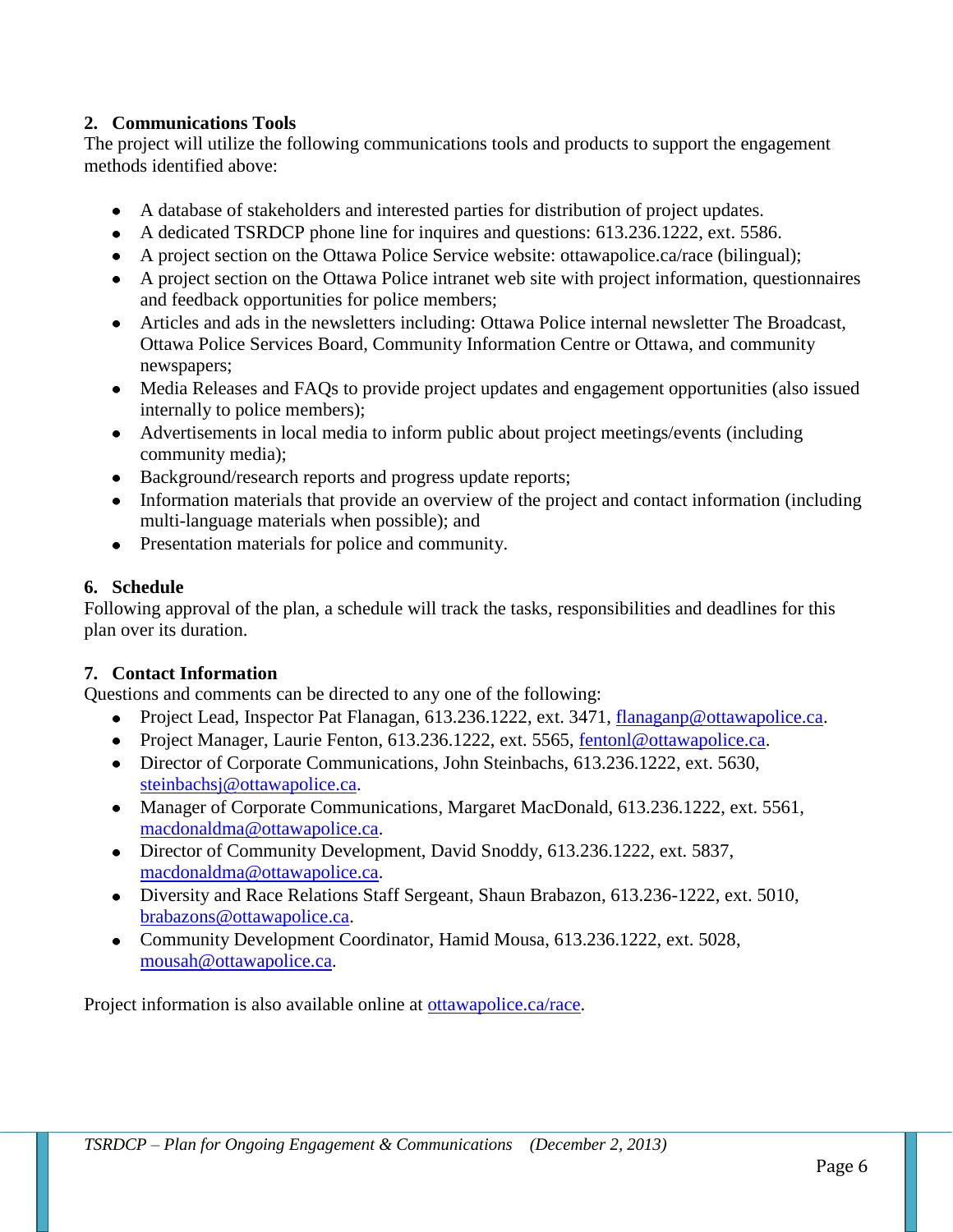#### **2. Communications Tools**

The project will utilize the following communications tools and products to support the engagement methods identified above:

- A database of stakeholders and interested parties for distribution of project updates.
- A dedicated TSRDCP phone line for inquires and questions: 613.236.1222, ext. 5586.
- A project section on the Ottawa Police Service website: ottawapolice.ca/race (bilingual);
- A project section on the Ottawa Police intranet web site with project information, questionnaires and feedback opportunities for police members;
- Articles and ads in the newsletters including: Ottawa Police internal newsletter The Broadcast, Ottawa Police Services Board, Community Information Centre or Ottawa, and community newspapers;
- Media Releases and FAQs to provide project updates and engagement opportunities (also issued internally to police members);
- Advertisements in local media to inform public about project meetings/events (including community media);
- Background/research reports and progress update reports;
- Information materials that provide an overview of the project and contact information (including multi-language materials when possible); and
- Presentation materials for police and community.

#### **6. Schedule**

Following approval of the plan, a schedule will track the tasks, responsibilities and deadlines for this plan over its duration.

#### **7. Contact Information**

Questions and comments can be directed to any one of the following:

- Project Lead, Inspector Pat Flanagan, 613.236.1222, ext. 3471, [flanaganp@ottawapolice.ca.](mailto:flanaganp@ottawapolice.ca)
- Project Manager, Laurie Fenton, 613.236.1222, ext. 5565, [fentonl@ottawapolice.ca.](mailto:fentonl@ottawapolice.ca)
- Director of Corporate Communications, John Steinbachs, 613.236.1222, ext. 5630, [steinbachsj@ottawapolice.ca.](mailto:steinbachsj@ottawapolice.ca)
- Manager of Corporate Communications, Margaret MacDonald, 613.236.1222, ext. 5561, [macdonaldma@ottawapolice.ca.](mailto:macdonaldma@ottawapolice.ca)
- Director of Community Development, David Snoddy, 613.236.1222, ext. 5837, [macdonaldma@ottawapolice.ca.](mailto:macdonaldma@ottawapolice.ca)
- Diversity and Race Relations Staff Sergeant, Shaun Brabazon, 613.236-1222, ext. 5010, [brabazons@ottawapolice.ca.](mailto:brabazons@ottawapolice.ca)
- Community Development Coordinator, Hamid Mousa, 613.236.1222, ext. 5028, [mousah@ottawapolice.ca.](mailto:mousah@ottawapolice.ca)

Project information is also available online at [ottawapolice.ca/race.](http://ottawapolice.ca/en/community/diversitymatters/racialprofiling.aspx)